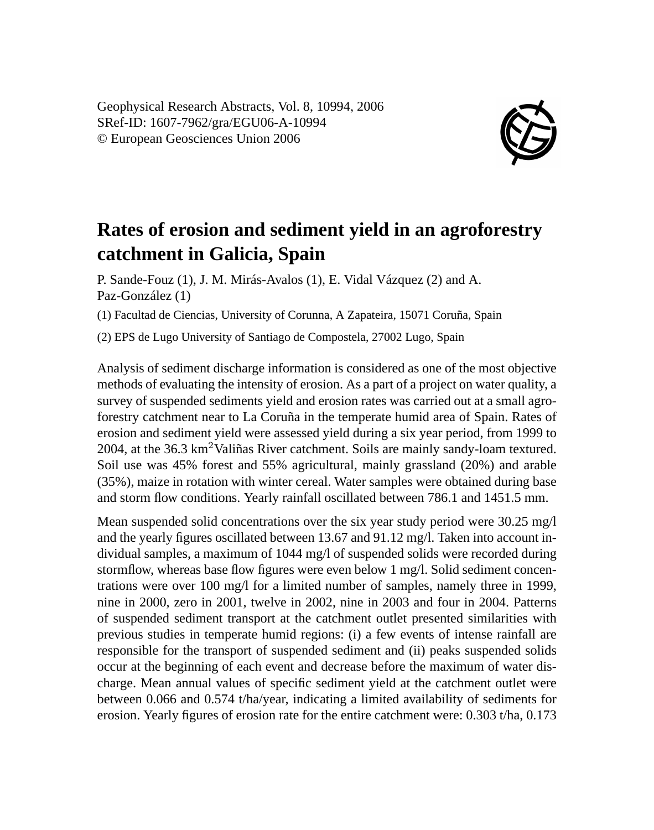Geophysical Research Abstracts, Vol. 8, 10994, 2006 SRef-ID: 1607-7962/gra/EGU06-A-10994 © European Geosciences Union 2006



## **Rates of erosion and sediment yield in an agroforestry catchment in Galicia, Spain**

P. Sande-Fouz (1), J. M. Mirás-Avalos (1), E. Vidal Vázquez (2) and A. Paz-González (1)

(1) Facultad de Ciencias, University of Corunna, A Zapateira, 15071 Coruña, Spain

(2) EPS de Lugo University of Santiago de Compostela, 27002 Lugo, Spain

Analysis of sediment discharge information is considered as one of the most objective methods of evaluating the intensity of erosion. As a part of a project on water quality, a survey of suspended sediments yield and erosion rates was carried out at a small agroforestry catchment near to La Coruña in the temperate humid area of Spain. Rates of erosion and sediment yield were assessed yield during a six year period, from 1999 to 2004, at the  $36.3 \text{ km}^2$ Valiñas River catchment. Soils are mainly sandy-loam textured. Soil use was 45% forest and 55% agricultural, mainly grassland (20%) and arable (35%), maize in rotation with winter cereal. Water samples were obtained during base and storm flow conditions. Yearly rainfall oscillated between 786.1 and 1451.5 mm.

Mean suspended solid concentrations over the six year study period were 30.25 mg/l and the yearly figures oscillated between 13.67 and 91.12 mg/l. Taken into account individual samples, a maximum of 1044 mg/l of suspended solids were recorded during stormflow, whereas base flow figures were even below 1 mg/l. Solid sediment concentrations were over 100 mg/l for a limited number of samples, namely three in 1999, nine in 2000, zero in 2001, twelve in 2002, nine in 2003 and four in 2004. Patterns of suspended sediment transport at the catchment outlet presented similarities with previous studies in temperate humid regions: (i) a few events of intense rainfall are responsible for the transport of suspended sediment and (ii) peaks suspended solids occur at the beginning of each event and decrease before the maximum of water discharge. Mean annual values of specific sediment yield at the catchment outlet were between 0.066 and 0.574 t/ha/year, indicating a limited availability of sediments for erosion. Yearly figures of erosion rate for the entire catchment were: 0.303 t/ha, 0.173